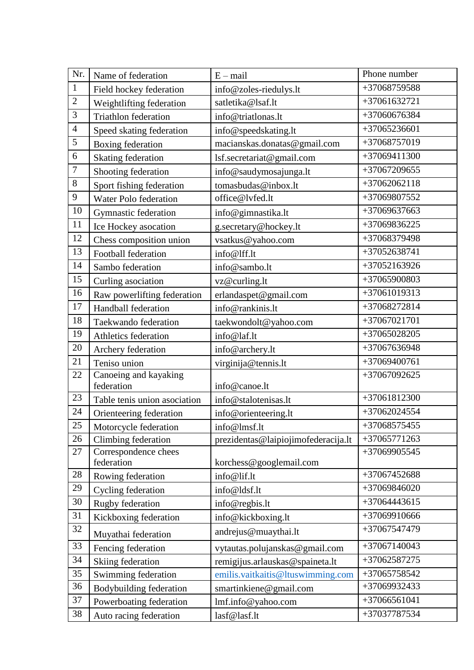| Nr.              | Name of federation                 | $E - mail$                          | Phone number   |
|------------------|------------------------------------|-------------------------------------|----------------|
| $1\,$            | Field hockey federation            | info@zoles-riedulys.lt              | +37068759588   |
| $\sqrt{2}$       | Weightlifting federation           | satletika@lsaf.lt                   | +37061632721   |
| 3                | <b>Triathlon federation</b>        | info@triatlonas.lt                  | +37060676384   |
| $\overline{4}$   | Speed skating federation           | info@speedskating.lt                | $+37065236601$ |
| 5                | Boxing federation                  | macianskas.donatas@gmail.com        | +37068757019   |
| 6                | <b>Skating federation</b>          | lsf.secretariat@gmail.com           | +37069411300   |
| $\boldsymbol{7}$ | Shooting federation                | info@saudymosajunga.lt              | +37067209655   |
| $8\,$            | Sport fishing federation           | tomasbudas@inbox.lt                 | $+37062062118$ |
| $\boldsymbol{9}$ | Water Polo federation              | office@lvfed.lt                     | +37069807552   |
| 10               | Gymnastic federation               | info@gimnastika.lt                  | +37069637663   |
| 11               | Ice Hockey asocation               | g.secretary@hockey.lt               | +37069836225   |
| 12               | Chess composition union            | vsatkus@yahoo.com                   | +37068379498   |
| 13               | Football federation                | info@lff.lt                         | +37052638741   |
| 14               | Sambo federation                   | info@sambo.lt                       | +37052163926   |
| 15               | Curling asociation                 | vz@curling.lt                       | +37065900803   |
| 16               | Raw powerlifting federation        | erlandaspet@gmail.com               | +37061019313   |
| 17               | Handball federation                | info@rankinis.lt                    | +37068272814   |
| 18               | Taekwando federation               | taekwondolt@yahoo.com               | +37067021701   |
| 19               | Athletics federation               | info@laf.lt                         | $+37065028205$ |
| 20               | Archery federation                 | info@archery.lt                     | +37067636948   |
| 21               | Teniso union                       | virginija@tennis.lt                 | +37069400761   |
| 22               | Canoeing and kayaking              |                                     | +37067092625   |
|                  | federation                         | info@canoe.lt                       |                |
| 23               | Table tenis union asociation       | info@stalotenisas.lt                | +37061812300   |
| 24               | Orienteering federation            | info@orienteering.lt                | +37062024554   |
| $25\,$           | Motorcycle federation              | info@lmsf.lt                        | +37068575455   |
| 26               | Climbing federation                | prezidentas@laipiojimofederacija.lt | $+37065771263$ |
| 27               | Correspondence chees<br>federation | korchess@googlemail.com             | +37069905545   |
| 28               | Rowing federation                  | info@lif.lt                         | +37067452688   |
| 29               | Cycling federation                 | info@ldsf.lt                        | +37069846020   |
| 30               | Rugby federation                   | info@regbis.lt                      | +37064443615   |
| 31               | Kickboxing federation              | info@kickboxing.lt                  | +37069910666   |
| 32               | Muyathai federation                | andrejus@muaythai.lt                | +37067547479   |
| 33               | Fencing federation                 | vytautas.polujanskas@gmail.com      | +37067140043   |
| 34               | Skiing federation                  | remigijus.arlauskas@spaineta.lt     | +37062587275   |
| 35               | Swimming federation                | emilis.vaitkaitis@ltuswimming.com   | +37065758542   |
| 36               | Bodybuilding federation            | smartinkiene@gmail.com              | +37069932433   |
| 37               | Powerboating federation            | lmf.info@yahoo.com                  | $+37066561041$ |
| 38               | Auto racing federation             | lasf@lasf.lt                        | +37037787534   |